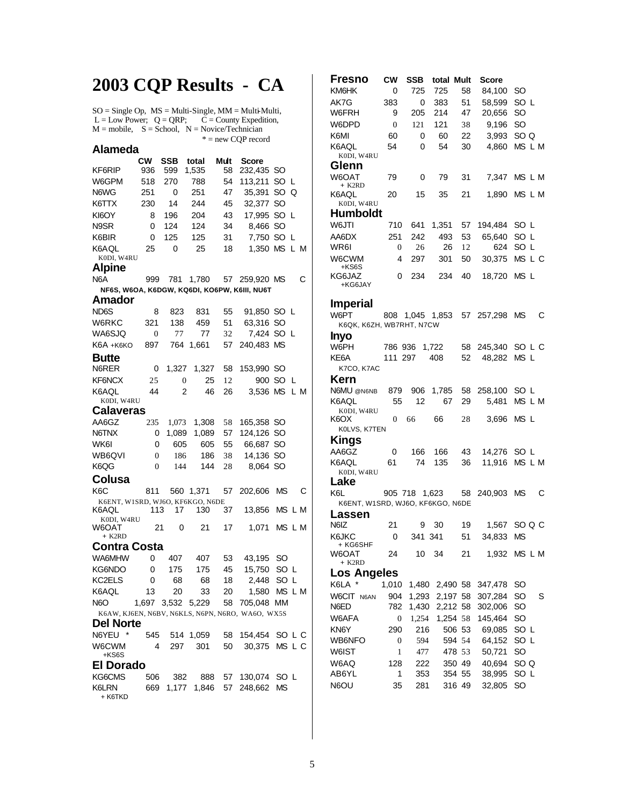## **2003 CQP Results - CA**

 $SO =$  Single Op,  $MS =$  Multi-Single,  $MM =$  Multi-Multi,  $L = Low Power$ ;  $Q = QRP$ ;  $C = County Expection$ ,  $M =$  mobile,  $S =$  School,  $N =$  Novice/Technician \* = new CQP record

| Alameda                                          |                |                  |       |      |             |                  |   |  |  |
|--------------------------------------------------|----------------|------------------|-------|------|-------------|------------------|---|--|--|
|                                                  | <b>CW</b>      | <b>SSB</b>       | total | Mult | Score       |                  |   |  |  |
| KF6RIP                                           | 936            | 599              | 1,535 | 58   | 232,435     | SO               |   |  |  |
| W6GPM                                            | 518            | 270              | 788   | 54   | 113,211     | SO<br>L          |   |  |  |
| N6WG                                             | 251            | 0                | 251   | 47   | 35,391      | SO <sub>Q</sub>  |   |  |  |
| K6TTX                                            | 230            | 14               | 244   | 45   | 32,377      | SO               |   |  |  |
| KI6OY                                            | 8              | 196              | 204   | 43   | 17,995      | SO L             |   |  |  |
| N9SR                                             | 0              | 124              | 124   | 34   | 8,466       | <b>SO</b>        |   |  |  |
| K6BIR                                            | 0              | 125              | 125   | 31   | 7,750       | <b>SO</b><br>L   |   |  |  |
| K6AQL<br>K0DI, W4RU                              | 25             | 0                | 25    | 18   | 1,350       | <b>MS</b><br>L M |   |  |  |
| Alpine                                           |                |                  |       |      |             |                  |   |  |  |
| N <sub>6</sub> A                                 | 999            | 781              | 1,780 | 57   | 259,920 MS  |                  | С |  |  |
| NF6S, W6OA, K6DGW, KQ6DI, KO6PW, K6III, NU6T     |                |                  |       |      |             |                  |   |  |  |
| Amador                                           |                |                  |       |      |             |                  |   |  |  |
| ND6S                                             | 8              | 823              | 831   | 55   | 91,850 SO L |                  |   |  |  |
| W6RKC                                            | 321            | 138              | 459   | 51   | 63,316      | SO               |   |  |  |
| WA6SJQ                                           | $\theta$       | 77               | 77    | 32   | 7,424       | SO L             |   |  |  |
| К6А + к6ко                                       | 897            | 764              | 1.661 | 57   | 240.483     | <b>MS</b>        |   |  |  |
| Butte                                            |                |                  |       |      |             |                  |   |  |  |
| N6RER                                            | 0              | 1,327            | 1,327 | 58   | 153,990     | SO               |   |  |  |
| KF6NCX                                           | 25             | $\boldsymbol{0}$ | 25    | 12   | 900         | <b>SO</b><br>L   |   |  |  |
| K6AOL<br>K0DI, W4RU                              | 44             | $\overline{2}$   | 46    | 26   | 3,536 MS    | L M              |   |  |  |
| Calaveras                                        |                |                  |       |      |             |                  |   |  |  |
| AA6GZ                                            | 235            | 1,073            | 1,308 | 58   | 165,358     | SO               |   |  |  |
| N6TNX                                            | 0              | 1,089            | 1,089 | 57   | 124,126     | <b>SO</b>        |   |  |  |
| WK6I                                             | 0              | 605              | 605   | 55   | 66,687      | SO               |   |  |  |
| WB6QVI                                           | $\overline{0}$ | 186              | 186   | 38   | 14,136      | SO               |   |  |  |
| K6QG                                             | $\theta$       | 144              | 144   | 28   | 8,064       | SO               |   |  |  |
| Colusa                                           |                |                  |       |      |             |                  |   |  |  |
| K <sub>6</sub> C                                 | 811            | 560              | 1,371 | 57   | 202,606     | ΜS               | С |  |  |
| K6ENT, W1SRD, WJ6O, KF6KGO, N6DE<br>K6AQL        | 113            | 17               | 130   | 37   | 13,856      | MS L M           |   |  |  |
| K0DI, W4RU<br>W6OAT<br>+ K2RD                    | 21             | 0                | 21    | 17   | 1,071       | MS L M           |   |  |  |
| Contra Costa                                     |                |                  |       |      |             |                  |   |  |  |
| WA6MHW                                           | 0              | 407              | 407   | 53   | 43,195      | SO               |   |  |  |
| KG6NDO                                           | 0              | 175              | 175   | 45   | 15,750      | SO<br>L          |   |  |  |
| KC2ELS                                           | 0              | 68               | 68    | 18   | 2,448       | L<br>SO          |   |  |  |
| K6AQL                                            | 13             | 20               | 33    | 20   | 1,580       | ΜS<br>L M        |   |  |  |
| N <sub>6</sub> O                                 | 1,697          | 3,532            | 5,229 | 58   | 705,048     | ΜМ               |   |  |  |
| K6AW, KJ6EN, N6BV, N6KLS, N6PN, N6RO, WA6O, WX5S |                |                  |       |      |             |                  |   |  |  |
| Del Norte                                        |                |                  |       |      |             |                  |   |  |  |
| N6YEU                                            | 545            | 514              | 1,059 | 58   | 154,454     | SO l<br>LС       |   |  |  |
| W6CWM<br>+KS6S                                   | 4              | 297              | 301   | 50   | 30,375      | MS<br>LС         |   |  |  |
| El Dorado                                        |                |                  |       |      |             |                  |   |  |  |

| KG6CMS           |  |  | 506 382 888 57 130.074 SO L   |  |
|------------------|--|--|-------------------------------|--|
| K6LRN<br>+ K6TKD |  |  | 669 1.177 1.846 57 248.662 MS |  |

| Fresno                           | <b>CW</b>      | SSB           | total    | Mult | Score      |           |   |
|----------------------------------|----------------|---------------|----------|------|------------|-----------|---|
| KM6HK                            | 0              | 725           | 725      | 58   | 84,100     | SO        |   |
| AK7G                             | 383            | 0             | 383      | 51   | 58,599     | SO L      |   |
| W6FRH                            | 9              | 205           | 214      | 47   | 20,656     | SO        |   |
| W6DPD                            | $\overline{0}$ | 121           | 121      | 38   | 9,196      | SO        |   |
| K6MI                             | 60             | 0             | 60       | 22   | 3.993      | SO Q      |   |
| K6AQL                            | 54             | 0             | 54       | 30   | 4.860      | MS L M    |   |
| K0DI, W4RU                       |                |               |          |      |            |           |   |
| Glenn                            |                |               |          |      |            |           |   |
| W6OAT                            | 79             | 0             | 79       | 31   | 7,347      | MS L M    |   |
| + K2RD                           |                |               |          |      |            |           |   |
| K6AOL                            | 20             | 15            | 35       | 21   | 1,890      | MS L M    |   |
| K0DI, W4RU<br>Humboldt           |                |               |          |      |            |           |   |
|                                  |                |               |          |      |            |           |   |
| W6JTI                            | 710            | 641           | 1,351    | 57   | 194,484    | SO L      |   |
| AA6DX                            | 251            | 242           | 493      | 53   | 65,640     | SO L      |   |
| WR6I                             | 0              | 26            | 26       | 12   | 624        | SO L      |   |
| W6CWM                            | 4              | 297           | 301      | 50   | 30,375     | MS L C    |   |
| +KS6S<br>KG6JAZ                  | 0              | 234           | 234      | 40   | 18,720     | MS L      |   |
| +KG6JAY                          |                |               |          |      |            |           |   |
|                                  |                |               |          |      |            |           |   |
| <b>Imperial</b>                  |                |               |          |      |            |           |   |
| W6PT                             | 808            | 1,045 1,853   |          |      | 57 257,298 | <b>MS</b> | С |
| K6QK, K6ZH, WB7RHT, N7CW         |                |               |          |      |            |           |   |
| Inyo                             |                |               |          |      |            |           |   |
| W6PH                             | 786 936        |               | 1,722    | 58   | 245,340    | SO L C    |   |
| KE6A                             | 111 297        |               | 408      | 52   | 48,282     | MS L      |   |
| K7CO, K7AC                       |                |               |          |      |            |           |   |
| Kern                             |                |               |          |      |            |           |   |
| N6MU @N6NB                       | 879            | 906           | 1,785    | 58   | 258,100    | SO L      |   |
| K6AQL                            | 55             | 12            | 67       | 29   | 5,481      | MS L M    |   |
| K0DI, W4RU                       |                |               |          |      |            |           |   |
| K6OX                             | 0              | 66            | 66       | 28   | 3,696      | MS L      |   |
| K0LVS, K7TEN                     |                |               |          |      |            |           |   |
| Kings                            |                |               |          |      |            |           |   |
| AA6GZ                            | 0              | 166           | 166      | 43   | 14,276     | SO L      |   |
| K6AQL                            | 61             | 74            | 135      | 36   | 11,916     | MS L M    |   |
| K0DI, W4RU                       |                |               |          |      |            |           |   |
| Lake                             |                |               |          |      |            |           |   |
| K6L                              |                | 905 718 1,623 |          | 58   | 240,903    | MS        | С |
| K6ENT, W1SRD, WJ6O, KF6KGO, N6DE |                |               |          |      |            |           |   |
| Lassen                           |                |               |          |      |            |           |   |
| N6IZ                             | 21             | 9             | 30       | 19   | 1,567      | SO Q C    |   |
| K6JKC<br>+ KG6SHF                | 0              | 341 341       |          | 51   | 34,833     | ΜS        |   |
| W6OAT                            | 24             | 10            | 34       | 21   | 1,932      | MS L M    |   |
| + K2RD                           |                |               |          |      |            |           |   |
| Los Angeles                      |                |               |          |      |            |           |   |
| K6LA                             | 1,010          | 1,480         | 2,490 58 |      | 347,478    | SO        |   |
| W6CIT N6AN                       | 904            | 1,293         | 2,197 58 |      | 307,284    | SO        | S |
| N6ED                             | 782            | 1,430         | 2,212 58 |      | 302,006    | SO        |   |
| W6AFA                            | 0              | 1,254         | 1,254 58 |      | 145,464    | SO        |   |
| KN6Y                             | 290            | 216           | 506 53   |      | 69,085     | SO L      |   |
| WB6NFO                           | 0              | 594           | 594 54   |      | 64,152     | SO L      |   |
| W6IST                            | 1              | 477           | 478 53   |      | 50,721     | SO        |   |
| W6AQ                             | 128            | 222           | 350 49   |      | 40,694     | SO Q      |   |
| AB6YL                            | 1              | 353           | 354 55   |      | 38,995     | SO L      |   |
| N6OU                             | 35             | 281           | 316 49   |      | 32,805     | SO        |   |
|                                  |                |               |          |      |            |           |   |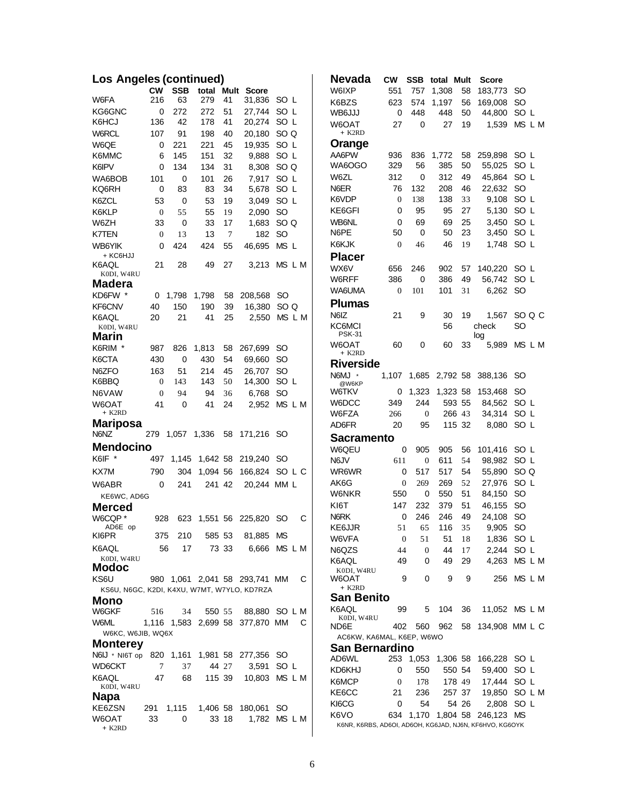| Los Angeles (continued)                     |                |            |          |        |                                 |                        |  |  |  |  |
|---------------------------------------------|----------------|------------|----------|--------|---------------------------------|------------------------|--|--|--|--|
|                                             | <b>CW</b>      | <b>SSB</b> | total    | Mult   | Score                           |                        |  |  |  |  |
| W6FA                                        | 216            | 63         | 279      | 41     | 31,836                          | SO L                   |  |  |  |  |
| KG6GNC                                      | 0              | 272        | 272      | 51     | 27,744                          | SO L                   |  |  |  |  |
| K6HCJ                                       | 136            | 42         | 178      | 41     | 20,274                          | SO L                   |  |  |  |  |
| <b>W6RCL</b>                                | 107            | 91         | 198      | 40     | 20,180                          | SO Q                   |  |  |  |  |
| W6QE                                        | 0              | 221        | 221      | 45     | 19.935                          | SO L                   |  |  |  |  |
| K6MMC                                       | 6              | 145        | 151      | 32     | 9,888                           | SO L                   |  |  |  |  |
| K6IPV                                       | 0              | 134        | 134      | 31     | 8,308                           | SO Q                   |  |  |  |  |
| WA6BOB                                      | 101            | 0          | 101      | 26     | 7.917                           | SO L                   |  |  |  |  |
| KQ6RH                                       | 0              | 83         | 83       | 34     | 5,678                           | SO L                   |  |  |  |  |
| K6ZCL                                       | 53             | 0          | 53       | 19     | 3,049                           | SO L                   |  |  |  |  |
| K6KLP                                       | $\overline{0}$ | 55         | 55       | 19     | 2,090                           | <b>SO</b>              |  |  |  |  |
| W6ZH                                        | 33             | 0          | 33       | 17     | 1,683                           | SO <sub>Q</sub>        |  |  |  |  |
| <b>K7TEN</b>                                | $\overline{0}$ | 13         | 13       | 7      | 182                             | SO                     |  |  |  |  |
| WB6YIK                                      | 0              | 424        | 424      | 55     | 46,695                          | MS <sub>L</sub>        |  |  |  |  |
| + KC6HJJ                                    |                |            |          |        |                                 |                        |  |  |  |  |
| K6AQL                                       | 21             | 28         | 49       | 27     | 3,213                           | MS L M                 |  |  |  |  |
| K0DI, W4RU                                  |                |            |          |        |                                 |                        |  |  |  |  |
| Madera                                      |                |            |          |        |                                 |                        |  |  |  |  |
| KD6FW *                                     | 0              | 1,798      | 1,798    | 58     | 208,568                         | SO                     |  |  |  |  |
| KF6CNV                                      | 40             | 150        | 190      | 39     | 16,380                          | SO Q                   |  |  |  |  |
| K6AOL                                       | 20             | 21         | 41       | 25     | 2,550                           | MS L M                 |  |  |  |  |
| K0DI, W4RU<br>Marin                         |                |            |          |        |                                 |                        |  |  |  |  |
| K6RIM *                                     | 987            | 826        | 1,813    | 58     | 267,699                         | SO                     |  |  |  |  |
| K6CTA                                       | 430            | 0          | 430      | 54     | 69,660                          | SO                     |  |  |  |  |
| N6ZFO                                       | 163            | 51         | 214      | 45     | 26,707                          | SO                     |  |  |  |  |
| K6BBQ                                       | $\overline{0}$ | 143        | 143      | 50     | 14,300                          | SO L                   |  |  |  |  |
| N6VAW                                       | $\overline{0}$ | 94         | 94       | 36     | 6,768                           | SO                     |  |  |  |  |
| W6OAT                                       | 41             | 0          | 41       | 24     |                                 | MS L M                 |  |  |  |  |
| + K2RD                                      |                |            |          |        | 2,952                           |                        |  |  |  |  |
| <b>Mariposa</b>                             |                |            |          |        |                                 |                        |  |  |  |  |
| N6NZ                                        | 279            | 1,057      | 1,336    | 58     | 171,216                         | SO                     |  |  |  |  |
| <b>Mendocino</b>                            |                |            |          |        |                                 |                        |  |  |  |  |
| K6IF *                                      | 497            | 1,145      | 1,642 58 |        | 219,240                         | SO                     |  |  |  |  |
| KX7M                                        | 790            | 304        | 1,094 56 |        | 166,824                         | SO L C                 |  |  |  |  |
|                                             |                |            |          |        |                                 |                        |  |  |  |  |
| W6ABR                                       | 0              | 241        | 241 42   |        | 20,244                          | MM <sub>L</sub>        |  |  |  |  |
| KE6WC, AD6G                                 |                |            |          |        |                                 |                        |  |  |  |  |
| Merced                                      |                |            |          |        |                                 |                        |  |  |  |  |
| W6CQP*<br>AD6E op                           | 928            | 623        |          |        | 1,551 56 225,820                | SO<br>С                |  |  |  |  |
| KI6PR                                       | 375            | 210        |          | 585 53 | 81,885                          | ΜS                     |  |  |  |  |
| K6AQL                                       | 56             | 17         |          | 73 33  | 6,666                           | MS L M                 |  |  |  |  |
| K0DI, W4RU                                  |                |            |          |        |                                 |                        |  |  |  |  |
| Modoc                                       |                |            |          |        |                                 |                        |  |  |  |  |
| KS6U                                        |                |            |          |        | 980 1,061 2,041 58 293,741 MM   | С                      |  |  |  |  |
| KS6U, N6GC, K2DI, K4XU, W7MT, W7YLO, KD7RZA |                |            |          |        |                                 |                        |  |  |  |  |
| Mono                                        |                |            |          |        |                                 |                        |  |  |  |  |
| W6GKF                                       | 516            | 34         |          |        | 550 55 88,880 SO L M            |                        |  |  |  |  |
| W6ML                                        |                |            |          |        | 1,116 1,583 2,699 58 377,870 MM | С                      |  |  |  |  |
| W6KC, W6JIB, WQ6X                           |                |            |          |        |                                 |                        |  |  |  |  |
| <b>Monterey</b>                             |                |            |          |        |                                 |                        |  |  |  |  |
| N6IJ * NI6T op 820 1,161 1,981 58 277,356   |                |            |          |        |                                 | SO                     |  |  |  |  |
| WD6CKT                                      | 7              | 37         | 44 27    |        | 3,591                           | SO L                   |  |  |  |  |
| K6AQL                                       | 47             | 68         |          |        |                                 | 115 39  10,803  MS L M |  |  |  |  |
| K0DI, W4RU                                  |                |            |          |        |                                 |                        |  |  |  |  |
| Napa                                        |                |            |          |        |                                 |                        |  |  |  |  |
| KE6ZSN                                      | 291 1,115      |            |          |        | 1,406 58 180,061                | SO                     |  |  |  |  |
| W6OAT<br>+ K2RD                             | 33             | 0          |          | 33 18  | 1,782                           | MS L M                 |  |  |  |  |
|                                             |                |            |          |        |                                 |                        |  |  |  |  |

| Nevada                                                  | <b>CW</b>        | SSB   | total Mult |        | <b>Score</b>   |                 |
|---------------------------------------------------------|------------------|-------|------------|--------|----------------|-----------------|
| W6IXP                                                   | 551              | 757   | 1,308      | 58     | 183,773        | SO              |
| K6BZS                                                   | 623              | 574   | 1.197      | 56     | 169,008        | SO              |
| WB6JJJ                                                  | 0                | 448   | 448        | 50     | 44,800         | SO L            |
| W6OAT<br>+ K2RD                                         | 27               | 0     | 27         | 19     | 1,539          | MS L M          |
| Orange                                                  |                  |       |            |        |                |                 |
| AA6PW                                                   | 936              | 836   | 1,772      | 58     | 259,898        | SO L            |
| WA6OGO                                                  | 329              | 56    | 385        | 50     | 55,025         | SO L            |
| W6ZL                                                    | 312              | 0     | 312        | 49     | 45,864         | SO L            |
| N6ER                                                    | 76               | 132   | 208        | 46     | 22,632         | SO              |
| K6VDP                                                   | 0                | 138   | 138        | 33     | 9,108          | SO <sub>L</sub> |
| KE6GFI                                                  | 0                | 95    | 95         | 27     | 5,130          | SO L            |
| WB6NL                                                   | 0                | 69    | 69         | 25     | 3,450          | SO L            |
| N6PE                                                    | 50               | 0     | 50         | 23     | 3,450          | SO L            |
| K6KJK                                                   | $\boldsymbol{0}$ | 46    | 46         | 19     | 1,748          | SO L            |
| Placer                                                  |                  |       |            |        |                |                 |
| WX6V                                                    | 656              | 246   | 902        | 57     | 140,220        | SO L            |
| W6RFF                                                   | 386              | 0     | 386        | 49     | 56,742         | SO L            |
| WA6UMA                                                  | $\boldsymbol{0}$ | 101   | 101        | 31     | 6,262          | SO              |
| <b>Plumas</b>                                           |                  |       |            |        |                |                 |
| N6IZ                                                    |                  |       |            | 19     |                |                 |
| KC6MCI                                                  | 21               | 9     | 30<br>56   |        | 1,567<br>check | SO Q C<br>SO    |
| <b>PSK-31</b>                                           |                  |       |            |        | log            |                 |
| W6OAT                                                   | 60               | 0     | 60         | 33     | 5,989          | MS L M          |
| $+$ K <sub>2</sub> R <sub>D</sub>                       |                  |       |            |        |                |                 |
| <b>Riverside</b>                                        |                  |       |            |        |                |                 |
| <b>N6MJ</b><br>$\,$ $\,$<br>@W6KP                       | 1,107            | 1,685 | 2,792 58   |        | 388,136        | SO              |
| W6TKV                                                   | 0                | 1,323 | 1,323 58   |        | 153,468        | <b>SO</b>       |
| W6DCC                                                   | 349              | 244   |            | 593 55 | 84,562         | SO L            |
| W6FZA                                                   | 266              | 0     |            | 266 43 | 34,314         | SO L            |
| AD6FR                                                   | 20               | 95    |            | 115 32 | 8,080          | SO L            |
| Sacramento                                              |                  |       |            |        |                |                 |
| W6QEU                                                   | 0                | 905   | 905        | 56     | 101,416        | SO L            |
| N6JV                                                    | 611              | 0     | 611        | 54     | 98,982         | SO L            |
| WR6WR                                                   | 0                | 517   | 517        | 54     | 55,890         | SO <sub>Q</sub> |
| AK6G                                                    | 0                | 269   | 269        | 52     | 27,976         | SO L            |
| W6NKR                                                   | 550              | 0     | 550        | 51     | 84,150         | <b>SO</b>       |
| KI6T                                                    | 147              | 232   | 379        | 51     | 46,155         | SO              |
| N6RK                                                    | 0                | 246   | 246        | 49     | 24,108         | SO              |
| KE6JJR                                                  | 51               | 65    | 116        | 35     | 9,905          | SO              |
| W6VFA                                                   | $\boldsymbol{0}$ | 51    | 51         | 18     | 1,836          | SO L            |
| N6QZS                                                   | 44               | 0     | 44         | 17     | 2,244          | SO L            |
| K6AQL                                                   | 49               | 0     | 49         | 29     | 4,263          | MS L M          |
| K0DI, W4RU<br>W6OAT<br>+ K2RD                           | 9                | 0     | 9          | 9      | 256            | MS L M          |
| San Benito                                              |                  |       |            |        |                |                 |
| K6AQL                                                   | 99               | 5     | 104        | 36     |                | 11,052 MS L M   |
| K0DI, W4RU<br>ND6E                                      | 402              | 560   | 962        | 58     |                | 134,908 MM L C  |
| AC6KW, KA6MAL, K6EP, W6WO                               |                  |       |            |        |                |                 |
| San Bernardino                                          |                  |       |            |        |                |                 |
| AD6WL                                                   | 253              | 1,053 | 1,306 58   |        | 166,228        | SO L            |
| KD6KHJ                                                  | 0                | 550   |            | 550 54 | 59,400         | SO L            |
| K6MCP                                                   | 0                | 178   |            | 178 49 | 17,444         | SO L            |
| KE6CC                                                   | 21               | 236   |            | 257 37 | 19,850         | SO L M          |
| KI6CG                                                   | 0                | 54    |            | 54 26  | 2,808          | SO L            |
| K6VO                                                    | 634              | 1,170 | 1,804 58   |        | 246,123        | <b>MS</b>       |
| K6NR, K6RBS, AD6OI, AD6OH, KG6JAD, NJ6N, KF6HVO, KG6OYK |                  |       |            |        |                |                 |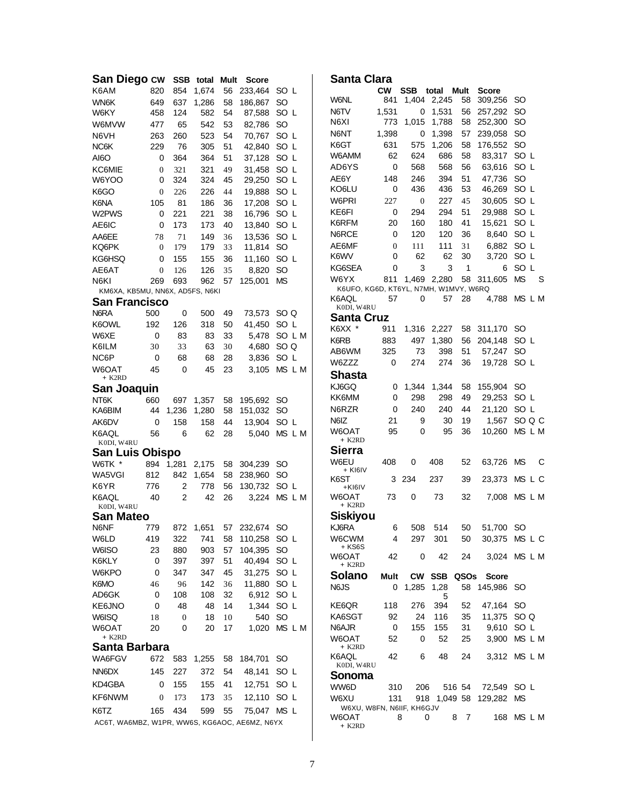| San Diego cw                                  |                  |                  | SSB total Mult |    | <b>Score</b> |               |        |      | Santa Clara                           |                  |             |             |                     |                         |               |            |
|-----------------------------------------------|------------------|------------------|----------------|----|--------------|---------------|--------|------|---------------------------------------|------------------|-------------|-------------|---------------------|-------------------------|---------------|------------|
| K6AM                                          | 820              | 854              | 1,674          | 56 | 233,464      | SO L          |        |      |                                       | <b>CW</b>        | <b>SSB</b>  | total Mult  |                     | <b>Score</b>            |               |            |
| <b>WN6K</b>                                   | 649              | 637              | 1,286          | 58 | 186,867      | SO            |        |      | <b>W6NL</b>                           | 841              |             | 1,404 2,245 | 58                  | 309,256                 | SO.           |            |
| W6KY                                          | 458              | 124              | 582            | 54 | 87,588       | SO L          |        | N6TV |                                       | 1,531            | 0           | 1,531       | 56                  | 257,292                 | SO            |            |
| W6MVW                                         | 477              | 65               | 542            | 53 | 82,786       | SO.           |        | N6XI |                                       | 773              | 1,015       | 1,788       | 58                  | 252,300                 | SO            |            |
| N6VH                                          | 263              | 260              | 523            | 54 | 70,767       | SO L          |        |      | N6NT                                  | 1,398            | 0           | 1,398       | 57                  | 239,058                 | SO            |            |
| NC6K                                          | 229              | 76               | 305            | 51 | 42,840       | SO L          |        |      | K6GT                                  | 631              | 575         | 1,206       | 58                  | 176,552                 | SO            |            |
| AI6O                                          | 0                | 364              | 364            | 51 | 37,128       | SO L          |        |      | W6AMM                                 | 62               | 624         | 686         | 58                  | 83,317                  | SO L          |            |
| KC6MIE                                        | 0                | 321              | 321            | 49 | 31,458       | SO L          |        |      | AD6YS                                 | 0                | 568         | 568         | 56                  | 63,616                  | SO L          |            |
| W6YOO                                         | 0                | 324              | 324            | 45 | 29,250       | SO L          |        |      | AE6Y                                  | 148              | 246         | 394         | 51                  | 47,736                  | <sub>SO</sub> |            |
| K6GO                                          | $\boldsymbol{0}$ | 226              | 226            | 44 | 19,888       | SO L          |        |      | KO6LU                                 | 0                | 436         | 436         | 53                  | 46,269                  | SO L          |            |
| K6NA                                          | 105              | 81               | 186            | 36 | 17,208       | SO L          |        |      | W6PRI                                 | 227              | $\bf{0}$    | 227         | 45                  | 30,605                  | SO L          |            |
| W2PWS                                         | 0                | 221              | 221            | 38 | 16,796       | SO L          |        |      | KE6FI                                 | 0                | 294         | 294         | 51                  | 29,988                  | SO L          |            |
| AE6IC                                         | 0                | 173              | 173            | 40 | 13,840       | SO L          |        |      | K6RFM                                 | 20               | 160         | 180         | 41                  | 15,621                  | SO L          |            |
| AA6EE                                         | 78               | 71               | 149            | 36 | 13,536       | SO L          |        |      | N6RCE                                 | 0                | 120         | 120         | 36                  | 8,640                   | SO L          |            |
| KQ6PK                                         | $\mathbf{0}$     | 179              | 179            | 33 | 11,814       | SO            |        |      | AE6MF                                 | $\boldsymbol{0}$ | 111         | 111         | 31                  | 6,882                   | SO L          |            |
| KG6HSQ                                        | 0                | 155              | 155            | 36 | 11,160       | SO L          |        |      | K6WV                                  | 0                | 62          | 62          | 30                  | 3,720                   | SO L          |            |
| AE6AT                                         | 0                | 126              | 126            | 35 | 8,820        | <b>SO</b>     |        |      | KG6SEA                                | 0                | 3           | 3           | $\mathbf{1}$        | 6                       | SO L          |            |
| N6KI                                          | 269              | 693              | 962            | 57 | 125,001      | <b>MS</b>     |        |      | W6YX                                  | 811              |             | 1,469 2,280 | 58                  | 311,605                 | MS            | S          |
| KM6XA, KB5MU, NN6X, AD5FS, N6KI               |                  |                  |                |    |              |               |        |      | K6UFO, KG6D, KT6YL, N7MH, W1MVY, W6RQ |                  |             |             |                     |                         |               |            |
| <b>San Francisco</b>                          |                  |                  |                |    |              |               |        |      | K6AQL<br>K0DI, W4RU                   | 57               | 0           | 57          | 28                  | 4,788                   |               | MS L M     |
| N6RA                                          | 500              | 0                | 500            | 49 | 73,573       | SO Q          |        |      | <b>Santa Cruz</b>                     |                  |             |             |                     |                         |               |            |
| K6OWL                                         | 192              | 126              | 318            | 50 | 41,450       | SO L          |        |      | K6XX *                                | 911              |             | 1,316 2,227 | 58                  | 311,170                 | SO.           |            |
| W6XE                                          | 0                | 83               | 83             | 33 | 5,478        |               | SO L M | K6RB |                                       | 883              | 497         | 1,380       | 56                  | 204,148                 | SO L          |            |
| K6ILM                                         | 30               | 33               | 63             | 30 | 4,680        | SO Q          |        |      | AB6WM                                 | 325              | 73          | 398         | 51                  | 57,247                  | SO            |            |
| NC6P                                          | 0                | 68               | 68             | 28 | 3,836        | SO L          |        |      | W6ZZZ                                 | 0                | 274         | 274         |                     | 19.728                  | SO L          |            |
| W6OAT                                         | 45               | 0                | 45             | 23 | 3,105        |               | MS L M |      |                                       |                  |             |             | 36                  |                         |               |            |
| + K2RD                                        |                  |                  |                |    |              |               |        |      | <b>Shasta</b>                         |                  |             |             |                     |                         |               |            |
| San Joaquin                                   |                  |                  |                |    |              |               |        |      | KJ6GQ                                 | 0                | 1,344       | 1,344       | 58                  | 155,904                 | SO            |            |
| NT6K                                          | 660              | 697              | 1,357          | 58 | 195,692      | SO.           |        |      | KK6MM                                 | 0                | 298         | 298         | 49                  | 29,253                  | SO L          |            |
| KA6BIM                                        | 44               | 1,236            | 1,280          | 58 | 151,032      | SO.           |        |      | N6RZR                                 | 0                | 240         | 240         | 44                  | 21,120                  | SO L          |            |
| AK6DV                                         | 0                | 158              | 158            | 44 | 13,904       | SO L          |        | N6IZ |                                       | 21               | 9           | 30          | 19                  | 1,567                   |               | SO Q C     |
| K6AQL                                         | 56               | 6                | 62             | 28 | 5,040        |               | MS L M |      | W6OAT<br>+ K2RD                       | 95               | 0           | 95          | 36                  | 10,260                  |               | MS L M     |
| K0DI, W4RU                                    |                  |                  |                |    |              |               |        |      | <b>Sierra</b>                         |                  |             |             |                     |                         |               |            |
| <b>San Luis Obispo</b>                        |                  |                  |                |    |              |               |        |      | W6EU                                  | 408              | 0           | 408         | 52                  | 63,726 MS               |               | С          |
| W6TK *                                        | 894              | 1,281            | 2,175          | 58 | 304,239      | SO.           |        |      | + KI6IV                               |                  |             |             |                     |                         |               |            |
| WA5VGI                                        | 812              | 842              | 1,654          | 58 | 238,960      | SO.           |        | K6ST |                                       | 3                | 234         | 237         | 39                  | 23,373 MS L C           |               |            |
| K6YR                                          | 776              | 2                | 778            | 56 | 130,732      | SO L          |        |      | +KI6IV                                |                  |             |             |                     |                         |               |            |
| K6AQL<br>K0DI, W4RU                           | 40               | 2                | 42             | 26 | 3,224        |               | MS L M |      | W6OAT<br>+ K2RD                       | 73               | 0           | 73          | 32                  | 7,008 MS L M            |               |            |
| San Mateo                                     |                  |                  |                |    |              |               |        |      | Siskiyou                              |                  |             |             |                     |                         |               |            |
| N6NF                                          | 779              | 872              | 1,651          | 57 | 232,674      | .SO           |        |      | KJ6RA                                 | 6                | 508         | 514         | 50                  | 51.700 SO               |               |            |
| W6LD                                          | 419              | 322              | 741            | 58 | 110,258 SO L |               |        |      | W6CWM                                 | 4                | 297         | 301         | 50                  | 30,375 MS L C           |               |            |
| W6ISO                                         | 23               | 880              | 903            | 57 | 104,395      | <sub>SO</sub> |        |      | + KS6S                                |                  |             |             |                     |                         |               |            |
| K6KLY                                         | 0                | 397              | 397            | 51 | 40,494 SO L  |               |        |      | W6OAT                                 | 42               | $\mathbf 0$ | 42          | 24                  | 3,024 MS L M            |               |            |
| W6KPO                                         | 0                | 347              | 347            | 45 | 31,275 SO L  |               |        |      | + K2RD                                |                  |             |             |                     |                         |               |            |
| K6MO                                          | 46               | 96               | 142            | 36 | 11,880 SO L  |               |        |      | Solano                                | Mult             |             | CW SSB QSOs |                     | Score                   |               |            |
| AD6GK                                         | 0                | 108              | 108            | 32 | 6,912 SO L   |               |        | N6JS |                                       | 0                | 1,285 1,28  | 5           |                     | 58 145,986 SO           |               |            |
| KE6JNO                                        | 0                | 48               | 48             | 14 | 1,344 SO L   |               |        |      | KE6QR                                 | 118              | 276         | 394         | 52                  | 47,164 SO               |               |            |
| <b>W6ISQ</b>                                  | 18               | $\boldsymbol{0}$ | 18             | 10 | 540 SO       |               |        |      | KA6SGT                                | 92               | 24          | 116         | 35                  | 11,375 SO Q             |               |            |
| W6OAT                                         | 20               | 0                | 20             | 17 | 1,020 MS L M |               |        |      | N6AJR                                 | 0                | 155         | 155         | 31                  | 9,610 SO L              |               |            |
| + K2RD                                        |                  |                  |                |    |              |               |        |      | W6OAT                                 | 52               | 0           | 52          | 25                  | 3,900 MS L M            |               |            |
| Santa Barbara                                 |                  |                  |                |    |              |               |        |      | + K2RD                                |                  |             |             |                     |                         |               |            |
| WA6FGV                                        | 672              |                  | 583 1,255      | 58 | 184,701      | SO.           |        |      | K6AQL                                 | 42               | 6           | 48          | 24                  | 3,312 MS L M            |               |            |
| NN6DX                                         | 145              | 227              | 372            | 54 | 48,141       | SO L          |        |      | K0DI, W4RU                            |                  |             |             |                     |                         |               |            |
| KD4GBA                                        | 0                | 155              | 155            | 41 | 12,751       | SO L          |        |      | Sonoma                                |                  |             |             |                     |                         |               |            |
|                                               |                  |                  |                |    |              |               |        |      | WW6D                                  | 310              | 206         |             | 516 54              | 72,549 SO L             |               |            |
| KF6NWM                                        | 0                | 173              | 173            | 35 | 12,110 SO L  |               |        |      | W6XU                                  | 131              |             |             |                     | 918 1,049 58 129,282 MS |               |            |
| K6TZ                                          | 165              | 434              | 599            | 55 | 75,047 MS L  |               |        |      | W6XU, W8FN, N6IIF, KH6GJV<br>W6OAT    |                  | 8<br>0      |             | 8<br>$\overline{7}$ |                         |               | 168 MS L M |
| AC6T, WA6MBZ, W1PR, WW6S, KG6AOC, AE6MZ, N6YX |                  |                  |                |    |              |               |        |      | + K2RD                                |                  |             |             |                     |                         |               |            |
|                                               |                  |                  |                |    |              |               |        |      |                                       |                  |             |             |                     |                         |               |            |